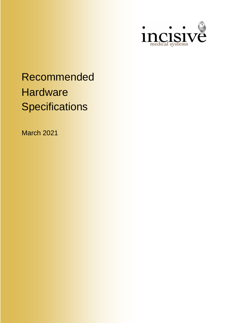

# Recommended **Hardware Specifications**

March 2021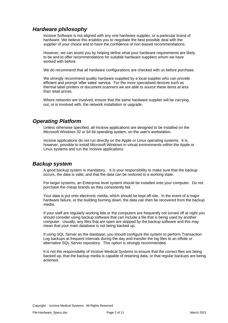# *Hardware philosophy*

Incisive Software is not aligned with any one hardware supplier, or a particular brand of hardware. We believe this enables you to negotiate the best possible deal with the supplier of your choice and to have the confidence of non-biased recommendations.

However, we can assist you by helping define what your hardware requirements are likely to be and to offer recommendations for suitable hardware suppliers whom we have worked with before.

We do recommend that all hardware configurations are checked with us before purchase.

We strongly recommend quality hardware supplied by a local supplier who can provide efficient and prompt 'after sales' service. For the more specialised devices such as thermal label printers or document scanners we are able to source these items at less than retail prices.

Where networks are involved, ensure that the same hardware supplier will be carrying out, or is involved with, the network installation or upgrade.

## *Operating Platform*

Unless otherwise specified, all Incisive applications are designed to be installed on the Microsoft Windows 32 or 64 bit operating system, on the user's workstation.

Incisive applications do not run directly on the Apple or Linux operating systems. It is, however, possible to install Microsoft Windows in virtual environments within the Apple or Linux systems and run the Incisive applications.

## *Backup system*

A good backup system is mandatory. It is your responsibility to make sure that the backup occurs, the data is valid, and that the data can be restored to a working state.

For larger systems, an Enterprise level system should be installed onto your computer. Do not purchase the cheap brands as they consistently fail.

Your data is put onto electronic media, which should be kept off-site. In the event of a major hardware failure, or the building burning down, the data can then be recovered from the backup media.

If your staff are regularly working late or the computers are frequently not turned off at night you should consider using backup software that can include a file that is being used by another computer. Usually, any files that are open are skipped by the backup software and this may mean that your main database is not being backed up.

If using SQL Server as the database, you should configure the system to perform Transaction Log backups at frequent intervals during the day and transfer the log files to an offsite or alternative SQL Server repository. This option is strongly recommended.

It is not the responsibility of Incisive Medical Systems to ensure that the correct files are being backed up, that the backup media is capable of retaining data, or that regular backups are being actioned.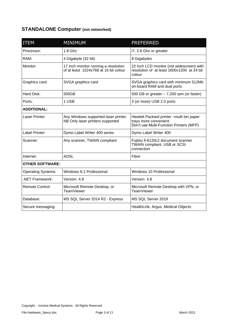# **STANDALONE Computer (not networked)**

| <b>ITEM</b>               | <b>MINIMUM</b>                                                                | <b>PREFERRED</b>                                                                                              |  |
|---------------------------|-------------------------------------------------------------------------------|---------------------------------------------------------------------------------------------------------------|--|
| Processor:                | 1.8 Ghz                                                                       | i7, 2.8 Ghz or greater                                                                                        |  |
| RAM:                      | 4 Gigabyte (32 bit)                                                           | 8 Gigabytes                                                                                                   |  |
| Monitor:                  | 17 inch monitor running a resolution<br>of at least 1024x768 at 16 bit colour | 22 inch LCD monitor (not widescreen) with<br>resolution of at least 1600x1200 at 24 bit<br>colour             |  |
| Graphics card:            | SVGA graphics card                                                            | SVGA graphics card with minimum 512Mb<br>on-board RAM and dual ports                                          |  |
| Hard Disk:                | 500GB                                                                         | 500 GB or greater $-7,200$ rpm (or faster)                                                                    |  |
| Ports:                    | 1 USB                                                                         | 3 (or more) USB 2.0 ports                                                                                     |  |
| <b>ADDITIONAL:</b>        |                                                                               |                                                                                                               |  |
| Laser Printer:            | Any Windows supported laser printer.<br>NB Only laser printers supported      | Hewlett Packard printer - multi bin paper<br>trays more convenient<br>Don't use Multi-Function Printers (MFP) |  |
| Label Printer:            | Dymo Label Writer 400 series                                                  | Dymo Label Writer 400                                                                                         |  |
| Scanner:                  | Any scanner, TWAIN compliant                                                  | Fujitsu fi-6120c2 document scanner<br><b>TWAIN compliant. USB or SCSI</b><br>connection                       |  |
| Internet:                 | <b>ADSL</b><br>Fibre                                                          |                                                                                                               |  |
| <b>OTHER SOFTWARE:</b>    |                                                                               |                                                                                                               |  |
| <b>Operating Systems:</b> | Windows 8.1 Professional                                                      | Windows 10 Professional                                                                                       |  |
| NET Framework:            | Version 4.8                                                                   | Version 4.8                                                                                                   |  |
| <b>Remote Control:</b>    | Microsoft Remote Desktop, or<br><b>TeamViewer</b>                             | Microsoft Remote Desktop with VPN, or<br><b>TeamViewer</b>                                                    |  |
| Database:                 | MS SQL Server 2014 R2 - Express                                               | MS SQL Server 2019                                                                                            |  |
| Secure messaging:         |                                                                               | HealthLink, Argus, Medical Objects                                                                            |  |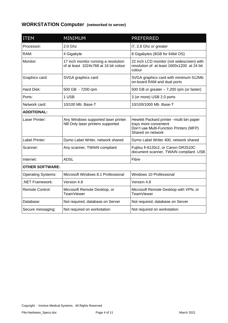# **WORKSTATION Computer (networked to server)**

| <b>ITEM</b>               | <b>MINIMUM</b>                                                                | <b>PREFERRED</b>                                                                                                                   |  |
|---------------------------|-------------------------------------------------------------------------------|------------------------------------------------------------------------------------------------------------------------------------|--|
| Processor:                | $2.0$ Ghz                                                                     | i7, 2.8 Ghz or greater                                                                                                             |  |
| RAM:                      | 4 Gigabyte                                                                    | 8 Gigabytes (8GB for 64bit OS)                                                                                                     |  |
| Monitor:                  | 17 inch monitor running a resolution<br>of at least 1024x768 at 16 bit colour | 22 inch LCD monitor (not widescreen) with<br>resolution of at least 1600x1200 at 24 bit<br>colour                                  |  |
| Graphics card:            | SVGA graphics card                                                            | SVGA graphics card with minimum 512Mb<br>on-board RAM and dual ports                                                               |  |
| <b>Hard Disk:</b>         | 500 GB - 7200 rpm                                                             | 500 GB or greater $-7,200$ rpm (or faster)                                                                                         |  |
| Ports:                    | 1 USB                                                                         | 3 (or more) USB 2.0 ports                                                                                                          |  |
| Network card:             | 10/100/1000 Mb Base-T<br>10/100 Mb Base-T                                     |                                                                                                                                    |  |
| <b>ADDITIONAL:</b>        |                                                                               |                                                                                                                                    |  |
| Laser Printer:            | Any Windows supported laser printer.<br>NB Only laser printers supported      | Hewlett Packard printer - multi bin paper<br>trays more convenient<br>Don't use Multi-Function Printers (MFP)<br>Shared on network |  |
| Label Printer:            | Dymo Label Writer, network shared                                             | Dymo Label Writer 400, network shared                                                                                              |  |
| Scanner:                  | Any scanner, TWAIN compliant                                                  | Fujitsu fi-6120c2, or Canon DR2510C<br>document scanner, TWAIN compliant. USB                                                      |  |
| Internet:                 | <b>ADSL</b><br>Fibre                                                          |                                                                                                                                    |  |
| <b>OTHER SOFTWARE:</b>    |                                                                               |                                                                                                                                    |  |
| <b>Operating Systems:</b> | Microsoft Windows 8.1 Professional                                            | Windows 10 Professional                                                                                                            |  |
| <b>NET Framework:</b>     | Version 4.8                                                                   | Version 4.8                                                                                                                        |  |
| <b>Remote Control:</b>    | Microsoft Remote Desktop, or<br><b>TeamViewer</b>                             | Microsoft Remote Desktop with VPN, or<br><b>TeamViewer</b>                                                                         |  |
| Database:                 | Not required, database on Server                                              | Not required, database on Server                                                                                                   |  |
| Secure messaging:         | Not required on workstation                                                   | Not required on workstation                                                                                                        |  |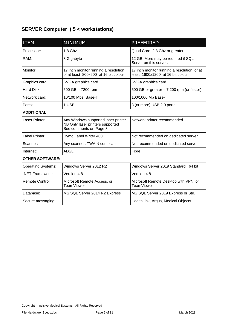# **SERVER Computer ( 5 < workstations)**

| <b>ITEM</b>               | <b>MINIMUM</b>                                                                                     | <b>PREFERRED</b>                                                               |  |  |
|---------------------------|----------------------------------------------------------------------------------------------------|--------------------------------------------------------------------------------|--|--|
| Processor:                | $1.8$ Ghz                                                                                          | Quad Core, 2.8 Ghz or greater                                                  |  |  |
| RAM:                      | 8 Gigabyte                                                                                         | 12 GB. More may be required if SQL<br>Server on this server.                   |  |  |
| Monitor:                  | 17 inch monitor running a resolution<br>of at least 800x600 at 16 bit colour                       | 17 inch monitor running a resolution of at<br>least 1600x1200 at 16 bit colour |  |  |
| Graphics card:            | SVGA graphics card                                                                                 | SVGA graphics card                                                             |  |  |
| Hard Disk:                | 500 GB - 7200 rpm                                                                                  | 500 GB or greater $-7,200$ rpm (or faster)                                     |  |  |
| Network card:             | 10/100 Mbs Base-T                                                                                  | 100/1000 Mb Base-T                                                             |  |  |
| Ports:                    | 1 USB<br>3 (or more) USB 2.0 ports                                                                 |                                                                                |  |  |
| <b>ADDITIONAL:</b>        |                                                                                                    |                                                                                |  |  |
| Laser Printer:            | Any Windows supported laser printer.<br>NB Only laser printers supported<br>See comments on Page 8 | Network printer recommended                                                    |  |  |
| Label Printer:            | Dymo Label Writer 400                                                                              | Not recommended on dedicated server                                            |  |  |
| Scanner:                  | Any scanner, TWAIN compliant                                                                       | Not recommended on dedicated server                                            |  |  |
| Internet:                 | <b>ADSL</b><br>Fibre                                                                               |                                                                                |  |  |
| <b>OTHER SOFTWARE:</b>    |                                                                                                    |                                                                                |  |  |
| <b>Operating Systems:</b> | Windows Server 2012 R2<br>Windows Server 2019 Standard 64 bit                                      |                                                                                |  |  |
| NET Framework:            | Version 4.8                                                                                        | Version 4.8                                                                    |  |  |
| <b>Remote Control:</b>    | Microsoft Remote Access, or<br>TeamViewer                                                          | Microsoft Remote Desktop with VPN, or<br><b>TeamViewer</b>                     |  |  |
| Database:                 | MS SQL Server 2014 R2 Express                                                                      | MS SQL Server 2019 Express or Std.                                             |  |  |
| Secure messaging:         |                                                                                                    | HealthLink, Argus, Medical Objects                                             |  |  |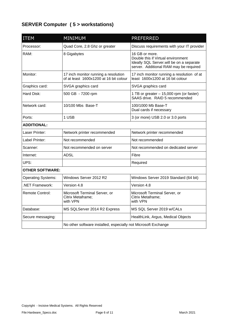# **SERVER Computer ( 5 > workstations)**

| <b>ITEM</b>               | <b>MINIMUM</b><br><b>PREFERRED</b>                                             |                                                                                                                                             |  |  |
|---------------------------|--------------------------------------------------------------------------------|---------------------------------------------------------------------------------------------------------------------------------------------|--|--|
| Processor:                | Quad Core, 2.8 Ghz or greater                                                  | Discuss requirements with your IT provider                                                                                                  |  |  |
| RAM:                      | 8 Gigabytes                                                                    | 16 GB or more.<br>Double this if Virtual environment<br>Ideally SQL Server. will be on a separate<br>server. Additional RAM may be required |  |  |
| Monitor:                  | 17 inch monitor running a resolution<br>of at least 1600x1200 at 16 bit colour | 17 inch monitor running a resolution of at<br>least 1600x1200 at 16 bit colour                                                              |  |  |
| Graphics card:            | SVGA graphics card                                                             | SVGA graphics card                                                                                                                          |  |  |
| Hard Disk:                | 500 GB - 7200 rpm                                                              | 1 TB or greater - 15,000 rpm (or faster)<br>SAAS drive. RAID 5 recommended                                                                  |  |  |
| Network card:             | 10/100 Mbs Base-T                                                              | 100/1000 Mb Base-T<br>Dual cards if necessary                                                                                               |  |  |
| Ports:                    | 1 USB<br>3 (or more) USB 2.0 or 3.0 ports                                      |                                                                                                                                             |  |  |
| <b>ADDITIONAL:</b>        |                                                                                |                                                                                                                                             |  |  |
| Laser Printer:            | Network printer recommended                                                    | Network printer recommended                                                                                                                 |  |  |
| Label Printer:            | Not recommended                                                                | Not recommended                                                                                                                             |  |  |
| Scanner:                  | Not recommended on server                                                      | Not recommended on dedicated server                                                                                                         |  |  |
| Internet:                 | <b>ADSL</b>                                                                    | Fibre                                                                                                                                       |  |  |
| UPS:                      |                                                                                | Required                                                                                                                                    |  |  |
| <b>OTHER SOFTWARE:</b>    |                                                                                |                                                                                                                                             |  |  |
| <b>Operating Systems:</b> | Windows Server 2012 R2                                                         | Windows Server 2019 Standard (64 bit)                                                                                                       |  |  |
| .NET Framework:           | Version 4.8                                                                    | Version 4.8                                                                                                                                 |  |  |
| Remote Control:           | Microsoft Terminal Server, or<br>Citrix Metaframe;<br>with VPN                 | Microsoft Terminal Server, or<br>Citrix Metaframe;<br>with VPN                                                                              |  |  |
| Database:                 | MS SQLServer 2014 R2 Express                                                   | MS SQL Server 2019 w/CALs                                                                                                                   |  |  |
| Secure messaging:         |                                                                                | HealthLink, Argus, Medical Objects                                                                                                          |  |  |
|                           | No other software installed, especially not Microsoft Exchange                 |                                                                                                                                             |  |  |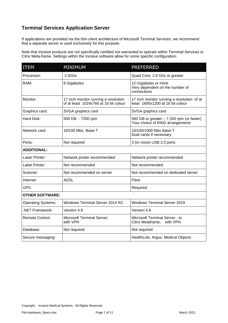# **Terminal Services Application Server**

If applications are provided via the thin-client architecture of Microsoft Terminal Services, we recommend that a separate server is used exclusively for this purpose.

Note that Incisive products are not specifically certified nor warranted to operate within Terminal Services or Citrix Meta-frame. Settings within the Incisive software allow for some specific configuration.

| <b>ITEM</b>               | <b>MINIMUM</b>                                                                | <b>PREFERRED</b>                                                               |  |
|---------------------------|-------------------------------------------------------------------------------|--------------------------------------------------------------------------------|--|
| Processor:                | 2.0Ghz                                                                        | Quad Core, 2.8 Ghz or greater                                                  |  |
| RAM:                      | 8 Gigabytes                                                                   | 12 Gigabytes or more<br>Very dependent on the number of<br>connections         |  |
| Monitor:                  | 17 inch monitor running a resolution<br>of at least 1024x768 at 16 bit colour | 17 inch monitor running a resolution of at<br>least 1600x1200 at 16 bit colour |  |
| Graphics card:            | SVGA graphics card                                                            | SVGA graphics card                                                             |  |
| Hard Disk:                | 500 GB - 7200 rpm                                                             | 500 GB or greater $-7,200$ rpm (or faster)<br>Your choice of RAID arrangements |  |
| Network card:             | 10/100 Mbs Base-T                                                             | 10/100/1000 Mbs Base-T<br>Dual cards if necessary                              |  |
| Ports:                    | Not required                                                                  | 3 (or more) USB 2.0 ports                                                      |  |
| <b>ADDITIONAL:</b>        |                                                                               |                                                                                |  |
| Laser Printer:            | Network printer recommended                                                   | Network printer recommended                                                    |  |
| Label Printer:            | Not recommended                                                               | Not recommended                                                                |  |
| Scanner:                  | Not recommended on server                                                     | Not recommended on dedicated server                                            |  |
| Internet:                 | <b>ADSL</b>                                                                   | Fibre                                                                          |  |
| UPS:                      |                                                                               | Required                                                                       |  |
| <b>OTHER SOFTWARE:</b>    |                                                                               |                                                                                |  |
| <b>Operating Systems:</b> | Windows Terminal Server 2014 R2                                               | <b>Windows Terminal Server 2019</b>                                            |  |
| .NET Framework:           | Version 4.8                                                                   | Version 4.8                                                                    |  |
| Remote Control:           | Microsoft Terminal Server;<br>with VPN                                        | Microsoft Terminal Server, or<br>Citrix Metaframe;<br>with VPN                 |  |
| Database:                 | Not required                                                                  | Not required                                                                   |  |
| Secure messaging:         |                                                                               | HealthLink, Argus, Medical Objects                                             |  |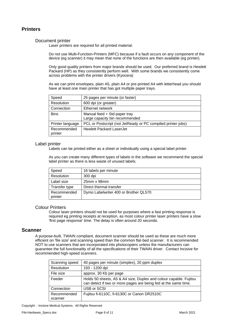#### **Printers**

#### Document printer

Laser printers are required for all printed material.

Do not use Multi-Function-Printers (MFC) because if a fault occurs on any component of the device (eg scanner) it may mean that none of the functions are then available (eg printer).

Only good quality printers from major brands should be used. Our preferred brand is Hewlett Packard (HP) as they consistently perform well. With some brands we consistently come across problems with the printer drivers (Kyocera)

As we can print envelopes, plain A5, plain A4 or pre-printed A4 with letterhead you should have at least one main printer that has got multiple paper trays.

| Speed                  | 25 pages per minute (or faster)                                |
|------------------------|----------------------------------------------------------------|
| Resolution             | 600 dpi (or greater)                                           |
| Connection             | Ethernet network                                               |
| <b>Bins</b>            | Manual feed + Std paper tray<br>Large capacity bin recommended |
| Printer language       | PCL or Postscript (not JetReady or PC compiled printer jobs)   |
| Recommended<br>printer | <b>Hewlett Packard LaserJet</b>                                |

#### Label printer

Labels can be printed either as a sheet or individually using a special label printer.

As you can create many different types of labels in the software we recommend the special label printer as there is less waste of unused labels.

| Speed                  | 16 labels per minute                  |
|------------------------|---------------------------------------|
| Resolution             | 300 dpi                               |
| Label size             | $25$ mm x 98mm                        |
| Transfer type          | Direct thermal transfer               |
| Recommended<br>printer | Dymo Labelwriter 400 or Brother QL570 |

#### Colour Printers

Colour laser printers should not be used for purposes where a fast printing response is required eg printing receipts at reception, as most colour printer laser printers have a slow 'first page response' time. The delay is often around 20 seconds.

#### **Scanner**

A purpose-built, TWAIN compliant, document scanner should be used as these are much more efficient on 'file size' and scanning speed than the common flat-bed scanner. It is recommended NOT to use scanners that are incorporated into photocopiers unless the manufacturers can guarantee the full functionality of all the specifications of their TWAIN driver. Contact Incisive for recommended high-speed scanners.

| Scanning speed         | 40 pages per minute (simplex), 20 ppm duplex                                                                                         |
|------------------------|--------------------------------------------------------------------------------------------------------------------------------------|
| Resolution             | 150 - 1200 dpi                                                                                                                       |
| File size              | approx. 30 Kb per page                                                                                                               |
| Feeder                 | Holds 50 sheets, A5 & A4 size, Duplex and colour capable. Fujitsu<br>can detect if two or more pages are being fed at the same time. |
| Connection             | USB or SCSI                                                                                                                          |
| Recommended<br>scanner | Fujitsu fi-6110C, fi-6130C or Canon DR2510C                                                                                          |

Copyright - Incisive Medical Systems. All Rights Reserved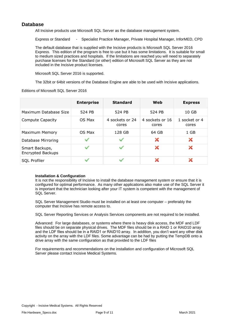### **Database**

All Incisive products use Microsoft SQL Server as the database management system.

Express or Standard - Specialist Practice Manager, Private Hospital Manager, InforMED, CPD

The default database that is supplied with the Incisive products is Microsoft SQL Server 2016 Express. This edition of the program is free to use but it has some limitations. It is suitable for small to medium sized practices and hospitals. If the limitations are reached you will need to separately purchase licenses for the Standard (or other) edition of Microsoft SQL Server as they are not included in the Incisive product licenses.

Microsoft SQL Server 2016 is supported.

The 32bit or 64bit versions of the Database Engine are able to be used with Incisive applications.

#### Editions of Microsoft SQL Server 2016

|                                     | <b>Enterprise</b> | <b>Standard</b>          | Web                      | <b>Express</b>         |
|-------------------------------------|-------------------|--------------------------|--------------------------|------------------------|
| Maximum Database Size               | 524 PB            | 524 PB                   | 524 PB                   | 10 <sub>GB</sub>       |
| Compute Capacity                    | OS Max            | 4 sockets or 24<br>cores | 4 sockets or 16<br>cores | 1 socket or 4<br>cores |
| Maximum Memory                      | OS Max            | 128 GB                   | 64 GB                    | 1 GB                   |
| Database Mirroring                  | ✓                 | $\checkmark$             | ×                        | ×                      |
| Smart Backups,<br>Encrypted Backups | $\checkmark$      | $\checkmark$             | ×                        | ×                      |
| <b>SQL Profiler</b>                 |                   |                          |                          |                        |

#### **Installation & Configuration**

It is not the responsibility of Incisive to install the database management system or ensure that it is configured for optimal performance. As many other applications also make use of the SQL Server it is important that the technician looking after your IT system is competent with the management of SQL Server.

SQL Server Management Studio must be installed on at least one computer – preferably the computer that Incisive has remote access to.

SQL Server Reporting Services or Analysis Services components are not required to be installed.

Advanced: For large databases, or systems where there is heavy disk access, the MDF and LDF files should be on separate physical drives. The MDF files should be in a RAID 1 or RAID10 array and the LDF files should be in a RAID1 or RAID10 array. In addition, you don't want any other disk activity on the array with the LDF files. Some advantage can be had by putting the TempDB onto a drive array with the same configuration as that provided to the LDF files

For requirements and recommendations on the installation and configuration of Microsoft SQL Server please contact Incisive Medical Systems.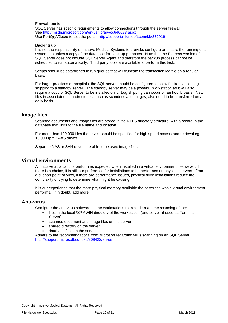#### **Firewall ports**

SQL Server has specific requirements to allow connections through the server firewall See <http://msdn.microsoft.com/en-us/library/cc646023.aspx> Use PortQryV2.exe to test the ports. <http://support.microsoft.com/kb/832919>

#### **Backing up**

It is not the responsibility of Incisive Medical Systems to provide, configure or ensure the running of a system that takes a copy of the database for back-up purposes. Note that the Express version of SQL Server does not include SQL Server Agent and therefore the backup process cannot be scheduled to run automatically. Third party tools are available to perform this task.

Scripts should be established to run queries that will truncate the transaction log file on a regular basis.

For larger practices or hospitals, the SQL server should be configured to allow for transaction log shipping to a standby server. The standby server may be a powerful workstation as it will also require a copy of SQL Server to be installed on it. Log shipping can occur on an hourly basis. New files in associated data directories, such as scandocs and images, also need to be transferred on a daily basis.

#### **Image files**

Scanned documents and Image files are stored in the NTFS directory structure, with a record in the database that links to the file name and location.

For more than 100,000 files the drives should be specified for high speed access and retrieval eg 15,000 rpm SAAS drives.

Separate NAS or SAN drives are able to be used image files.

#### **Virtual environments**

All Incisive applications perform as expected when installed in a virtual environment. However, if there is a choice, it is still our preference for installations to be performed on physical servers. From a support point-of-view, if there are performance issues, physical drive installations reduce the complexity of trying to determine what might be causing it.

It is our experience that the more physical memory available the better the whole virtual environment performs. If in doubt, add more.

#### **Anti-virus**

Configure the anti-virus software on the workstations to exclude real-time scanning of the:

- files in the local \SPMWIN directory of the workstation (and server if used as Terminal Server)
- scanned document and image files on the server
- shared directory on the server
- database files on the server

Adhere to the recommendations from Microsoft regarding virus scanning on an SQL Server. <http://support.microsoft.com/kb/309422/en-us>